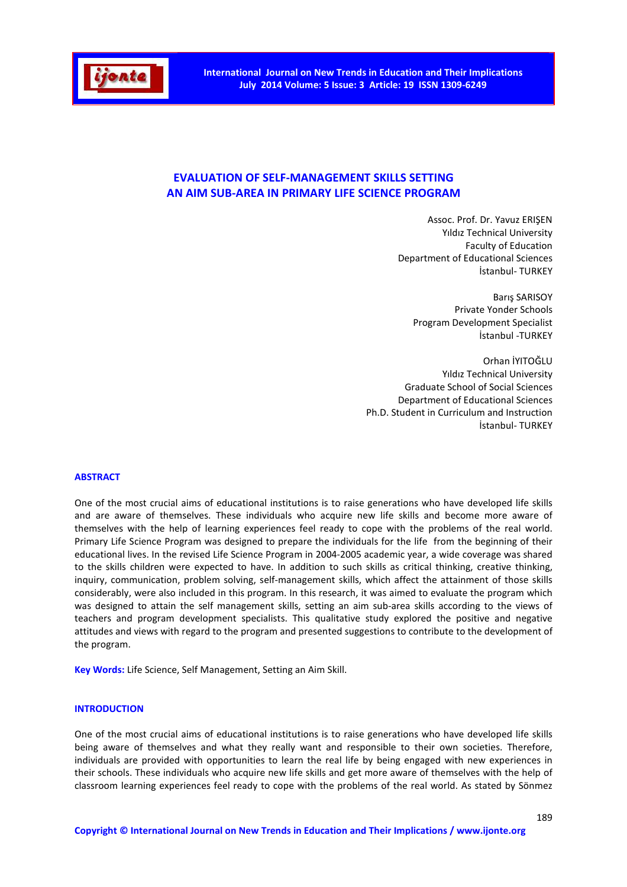

# **EVALUATION OF SELF-MANAGEMENT SKILLS SETTING AN AIM SUB-AREA IN PRIMARY LIFE SCIENCE PROGRAM**

Assoc. Prof. Dr. Yavuz ERIŞEN Yıldız Technical University Faculty of Education Department of Educational Sciences İstanbul- TURKEY

Barış SARISOY Private Yonder Schools Program Development Specialist İstanbul -TURKEY

Orhan İYITOĞLU Yıldız Technical University Graduate School of Social Sciences Department of Educational Sciences Ph.D. Student in Curriculum and Instruction İstanbul- TURKEY

### **ABSTRACT**

One of the most crucial aims of educational institutions is to raise generations who have developed life skills and are aware of themselves. These individuals who acquire new life skills and become more aware of themselves with the help of learning experiences feel ready to cope with the problems of the real world. Primary Life Science Program was designed to prepare the individuals for the life from the beginning of their educational lives. In the revised Life Science Program in 2004-2005 academic year, a wide coverage was shared to the skills children were expected to have. In addition to such skills as critical thinking, creative thinking, inquiry, communication, problem solving, self-management skills, which affect the attainment of those skills considerably, were also included in this program. In this research, it was aimed to evaluate the program which was designed to attain the self management skills, setting an aim sub-area skills according to the views of teachers and program development specialists. This qualitative study explored the positive and negative attitudes and views with regard to the program and presented suggestions to contribute to the development of the program.

**Key Words:** Life Science, Self Management, Setting an Aim Skill.

# **INTRODUCTION**

One of the most crucial aims of educational institutions is to raise generations who have developed life skills being aware of themselves and what they really want and responsible to their own societies. Therefore, individuals are provided with opportunities to learn the real life by being engaged with new experiences in their schools. These individuals who acquire new life skills and get more aware of themselves with the help of classroom learning experiences feel ready to cope with the problems of the real world. As stated by Sönmez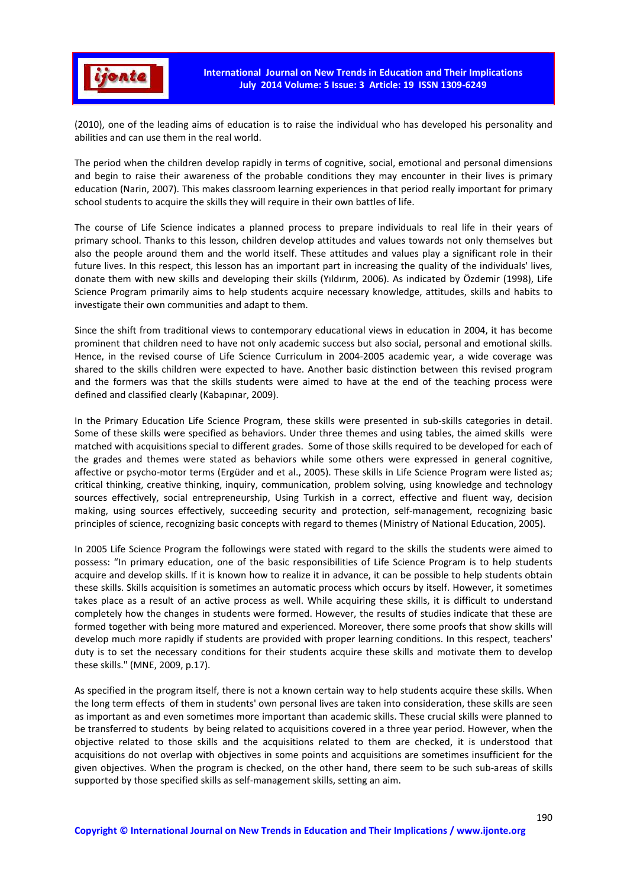

(2010), one of the leading aims of education is to raise the individual who has developed his personality and abilities and can use them in the real world.

The period when the children develop rapidly in terms of cognitive, social, emotional and personal dimensions and begin to raise their awareness of the probable conditions they may encounter in their lives is primary education (Narin, 2007). This makes classroom learning experiences in that period really important for primary school students to acquire the skills they will require in their own battles of life.

The course of Life Science indicates a planned process to prepare individuals to real life in their years of primary school. Thanks to this lesson, children develop attitudes and values towards not only themselves but also the people around them and the world itself. These attitudes and values play a significant role in their future lives. In this respect, this lesson has an important part in increasing the quality of the individuals' lives, donate them with new skills and developing their skills (Yıldırım, 2006). As indicated by Özdemir (1998), Life Science Program primarily aims to help students acquire necessary knowledge, attitudes, skills and habits to investigate their own communities and adapt to them.

Since the shift from traditional views to contemporary educational views in education in 2004, it has become prominent that children need to have not only academic success but also social, personal and emotional skills. Hence, in the revised course of Life Science Curriculum in 2004-2005 academic year, a wide coverage was shared to the skills children were expected to have. Another basic distinction between this revised program and the formers was that the skills students were aimed to have at the end of the teaching process were defined and classified clearly (Kabapınar, 2009).

In the Primary Education Life Science Program, these skills were presented in sub-skills categories in detail. Some of these skills were specified as behaviors. Under three themes and using tables, the aimed skills were matched with acquisitions special to different grades. Some of those skills required to be developed for each of the grades and themes were stated as behaviors while some others were expressed in general cognitive, affective or psycho-motor terms (Ergüder and et al., 2005). These skills in Life Science Program were listed as; critical thinking, creative thinking, inquiry, communication, problem solving, using knowledge and technology sources effectively, social entrepreneurship, Using Turkish in a correct, effective and fluent way, decision making, using sources effectively, succeeding security and protection, self-management, recognizing basic principles of science, recognizing basic concepts with regard to themes (Ministry of National Education, 2005).

In 2005 Life Science Program the followings were stated with regard to the skills the students were aimed to possess: "In primary education, one of the basic responsibilities of Life Science Program is to help students acquire and develop skills. If it is known how to realize it in advance, it can be possible to help students obtain these skills. Skills acquisition is sometimes an automatic process which occurs by itself. However, it sometimes takes place as a result of an active process as well. While acquiring these skills, it is difficult to understand completely how the changes in students were formed. However, the results of studies indicate that these are formed together with being more matured and experienced. Moreover, there some proofs that show skills will develop much more rapidly if students are provided with proper learning conditions. In this respect, teachers' duty is to set the necessary conditions for their students acquire these skills and motivate them to develop these skills." (MNE, 2009, p.17).

As specified in the program itself, there is not a known certain way to help students acquire these skills. When the long term effects of them in students' own personal lives are taken into consideration, these skills are seen as important as and even sometimes more important than academic skills. These crucial skills were planned to be transferred to students by being related to acquisitions covered in a three year period. However, when the objective related to those skills and the acquisitions related to them are checked, it is understood that acquisitions do not overlap with objectives in some points and acquisitions are sometimes insufficient for the given objectives. When the program is checked, on the other hand, there seem to be such sub-areas of skills supported by those specified skills as self-management skills, setting an aim.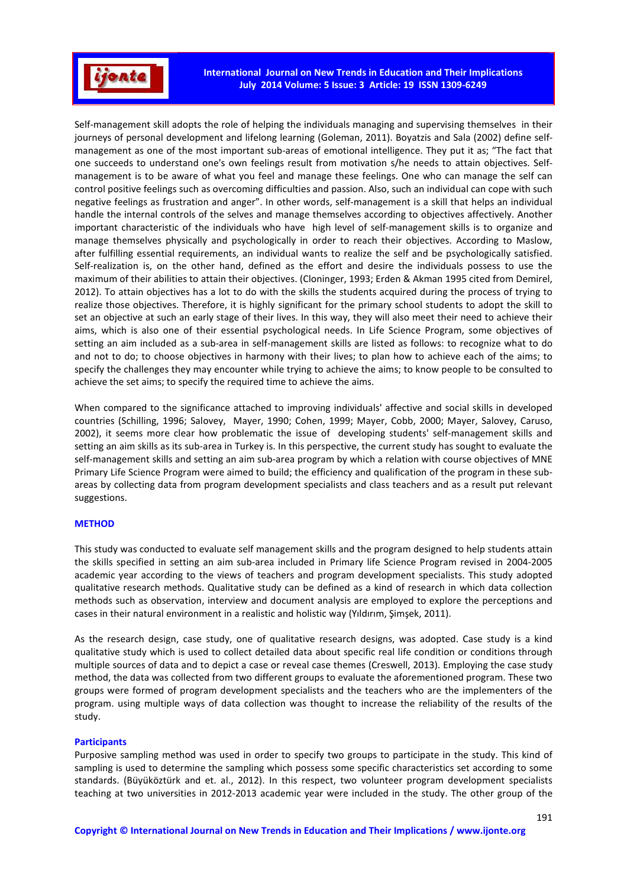

Self-management skill adopts the role of helping the individuals managing and supervising themselves in their journeys of personal development and lifelong learning (Goleman, 2011). Boyatzis and Sala (2002) define selfmanagement as one of the most important sub-areas of emotional intelligence. They put it as; "The fact that one succeeds to understand one's own feelings result from motivation s/he needs to attain objectives. Selfmanagement is to be aware of what you feel and manage these feelings. One who can manage the self can control positive feelings such as overcoming difficulties and passion. Also, such an individual can cope with such negative feelings as frustration and anger". In other words, self-management is a skill that helps an individual handle the internal controls of the selves and manage themselves according to objectives affectively. Another important characteristic of the individuals who have high level of self-management skills is to organize and manage themselves physically and psychologically in order to reach their objectives. According to Maslow, after fulfilling essential requirements, an individual wants to realize the self and be psychologically satisfied. Self-realization is, on the other hand, defined as the effort and desire the individuals possess to use the maximum of their abilities to attain their objectives. (Cloninger, 1993; Erden & Akman 1995 cited from Demirel, 2012). To attain objectives has a lot to do with the skills the students acquired during the process of trying to realize those objectives. Therefore, it is highly significant for the primary school students to adopt the skill to set an objective at such an early stage of their lives. In this way, they will also meet their need to achieve their aims, which is also one of their essential psychological needs. In Life Science Program, some objectives of setting an aim included as a sub-area in self-management skills are listed as follows: to recognize what to do and not to do; to choose objectives in harmony with their lives; to plan how to achieve each of the aims; to specify the challenges they may encounter while trying to achieve the aims; to know people to be consulted to achieve the set aims; to specify the required time to achieve the aims.

When compared to the significance attached to improving individuals' affective and social skills in developed countries (Schilling, 1996; Salovey, Mayer, 1990; Cohen, 1999; Mayer, Cobb, 2000; Mayer, Salovey, Caruso, 2002), it seems more clear how problematic the issue of developing students' self-management skills and setting an aim skills as its sub-area in Turkey is. In this perspective, the current study has sought to evaluate the self-management skills and setting an aim sub-area program by which a relation with course objectives of MNE Primary Life Science Program were aimed to build; the efficiency and qualification of the program in these subareas by collecting data from program development specialists and class teachers and as a result put relevant suggestions.

### **METHOD**

This study was conducted to evaluate self management skills and the program designed to help students attain the skills specified in setting an aim sub-area included in Primary life Science Program revised in 2004-2005 academic year according to the views of teachers and program development specialists. This study adopted qualitative research methods. Qualitative study can be defined as a kind of research in which data collection methods such as observation, interview and document analysis are employed to explore the perceptions and cases in their natural environment in a realistic and holistic way (Yıldırım, Şimşek, 2011).

As the research design, case study, one of qualitative research designs, was adopted. Case study is a kind qualitative study which is used to collect detailed data about specific real life condition or conditions through multiple sources of data and to depict a case or reveal case themes (Creswell, 2013). Employing the case study method, the data was collected from two different groups to evaluate the aforementioned program. These two groups were formed of program development specialists and the teachers who are the implementers of the program. using multiple ways of data collection was thought to increase the reliability of the results of the study.

#### **Participants**

Purposive sampling method was used in order to specify two groups to participate in the study. This kind of sampling is used to determine the sampling which possess some specific characteristics set according to some standards. (Büyüköztürk and et. al., 2012). In this respect, two volunteer program development specialists teaching at two universities in 2012-2013 academic year were included in the study. The other group of the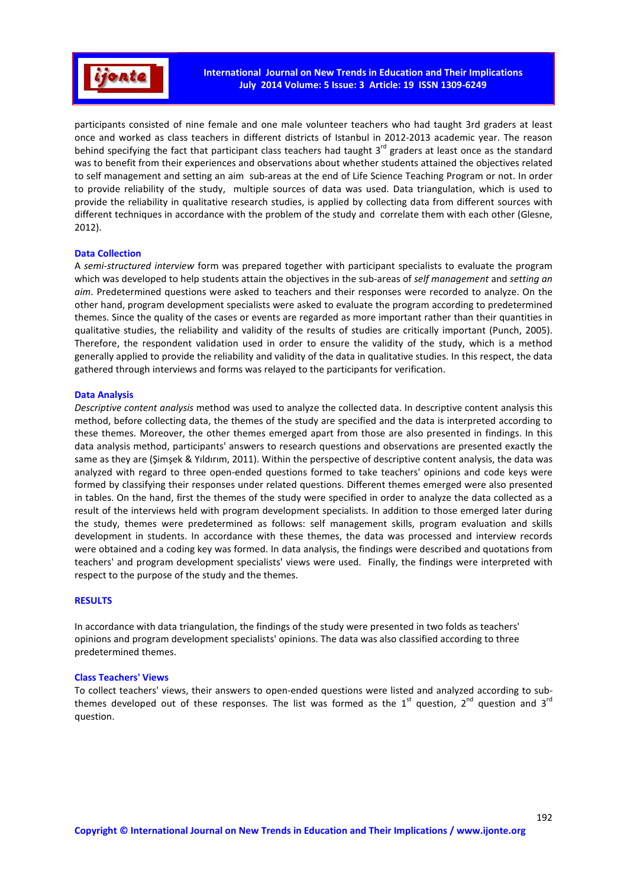

participants consisted of nine female and one male volunteer teachers who had taught 3rd graders at least once and worked as class teachers in different districts of Istanbul in 2012-2013 academic year. The reason behind specifying the fact that participant class teachers had taught  $3<sup>rd</sup>$  graders at least once as the standard was to benefit from their experiences and observations about whether students attained the objectives related to self management and setting an aim sub-areas at the end of Life Science Teaching Program or not. In order to provide reliability of the study, multiple sources of data was used. Data triangulation, which is used to provide the reliability in qualitative research studies, is applied by collecting data from different sources with different techniques in accordance with the problem of the study and correlate them with each other (Glesne, 2012).

### **Data Collection**

A *semi-structured interview* form was prepared together with participant specialists to evaluate the program which was developed to help students attain the objectives in the sub-areas of *self management* and *setting an aim*. Predetermined questions were asked to teachers and their responses were recorded to analyze. On the other hand, program development specialists were asked to evaluate the program according to predetermined themes. Since the quality of the cases or events are regarded as more important rather than their quantities in qualitative studies, the reliability and validity of the results of studies are critically important (Punch, 2005). Therefore, the respondent validation used in order to ensure the validity of the study, which is a method generally applied to provide the reliability and validity of the data in qualitative studies. In this respect, the data gathered through interviews and forms was relayed to the participants for verification.

### **Data Analysis**

*Descriptive content analysis* method was used to analyze the collected data. In descriptive content analysis this method, before collecting data, the themes of the study are specified and the data is interpreted according to these themes. Moreover, the other themes emerged apart from those are also presented in findings. In this data analysis method, participants' answers to research questions and observations are presented exactly the same as they are (Şimşek & Yıldırım, 2011). Within the perspective of descriptive content analysis, the data was analyzed with regard to three open-ended questions formed to take teachers' opinions and code keys were formed by classifying their responses under related questions. Different themes emerged were also presented in tables. On the hand, first the themes of the study were specified in order to analyze the data collected as a result of the interviews held with program development specialists. In addition to those emerged later during the study, themes were predetermined as follows: self management skills, program evaluation and skills development in students. In accordance with these themes, the data was processed and interview records were obtained and a coding key was formed. In data analysis, the findings were described and quotations from teachers' and program development specialists' views were used. Finally, the findings were interpreted with respect to the purpose of the study and the themes.

### **RESULTS**

In accordance with data triangulation, the findings of the study were presented in two folds as teachers' opinions and program development specialists' opinions. The data was also classified according to three predetermined themes.

### **Class Teachers' Views**

To collect teachers' views, their answers to open-ended questions were listed and analyzed according to subthemes developed out of these responses. The list was formed as the  $1<sup>st</sup>$  question,  $2<sup>nd</sup>$  question and  $3<sup>rd</sup>$ question.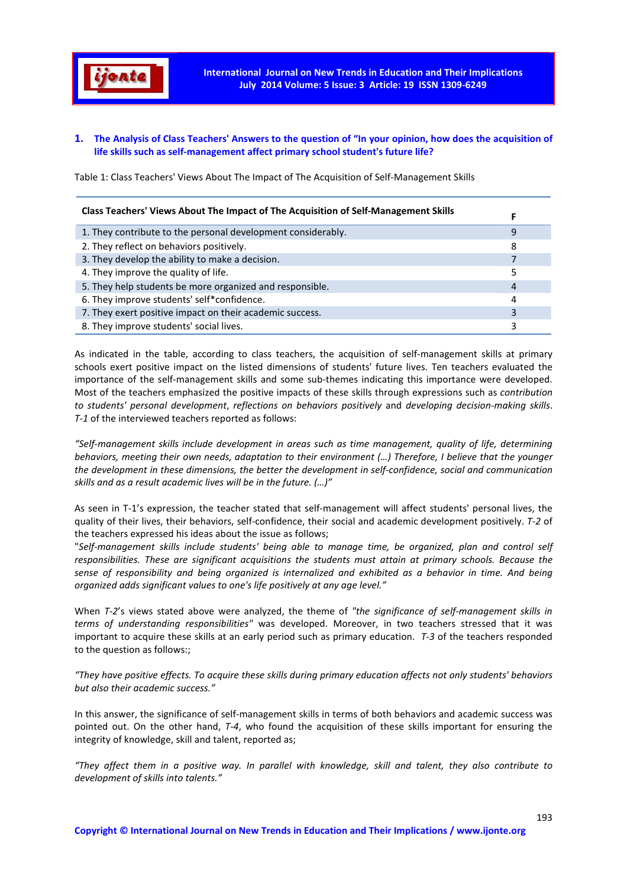

# **1. The Analysis of Class Teachers' Answers to the question of "In your opinion, how does the acquisition of life skills such as self-management affect primary school student's future life?**

Table 1: Class Teachers' Views About The Impact of The Acquisition of Self-Management Skills

| Class Teachers' Views About The Impact of The Acquisition of Self-Management Skills |   |
|-------------------------------------------------------------------------------------|---|
| 1. They contribute to the personal development considerably.                        | 9 |
| 2. They reflect on behaviors positively.                                            | 8 |
| 3. They develop the ability to make a decision.                                     |   |
| 4. They improve the quality of life.                                                | 5 |
| 5. They help students be more organized and responsible.                            | 4 |
| 6. They improve students' self*confidence.                                          | 4 |
| 7. They exert positive impact on their academic success.                            | 3 |
| 8. They improve students' social lives.                                             |   |

As indicated in the table, according to class teachers, the acquisition of self-management skills at primary schools exert positive impact on the listed dimensions of students' future lives. Ten teachers evaluated the importance of the self-management skills and some sub-themes indicating this importance were developed. Most of the teachers emphasized the positive impacts of these skills through expressions such as *contribution to students' personal development*, *reflections on behaviors positively* and *developing decision-making skills*. *T-1* of the interviewed teachers reported as follows:

*"Self-management skills include development in areas such as time management, quality of life, determining behaviors, meeting their own needs, adaptation to their environment (…) Therefore, I believe that the younger the development in these dimensions, the better the development in self-confidence, social and communication skills and as a result academic lives will be in the future. (…)"* 

As seen in T-1's expression, the teacher stated that self-management will affect students' personal lives, the quality of their lives, their behaviors, self-confidence, their social and academic development positively. *T-2* of the teachers expressed his ideas about the issue as follows;

"*Self-management skills include students' being able to manage time, be organized, plan and control self responsibilities. These are significant acquisitions the students must attain at primary schools. Because the sense of responsibility and being organized is internalized and exhibited as a behavior in time. And being organized adds significant values to one's life positively at any age level."*

When *T-2*'s views stated above were analyzed, the theme of *"the significance of self-management skills in terms of understanding responsibilities"* was developed. Moreover, in two teachers stressed that it was important to acquire these skills at an early period such as primary education. *T-3* of the teachers responded to the question as follows:;

*"They have positive effects. To acquire these skills during primary education affects not only students' behaviors but also their academic success."* 

In this answer, the significance of self-management skills in terms of both behaviors and academic success was pointed out. On the other hand, *T-4*, who found the acquisition of these skills important for ensuring the integrity of knowledge, skill and talent, reported as;

*"They affect them in a positive way. In parallel with knowledge, skill and talent, they also contribute to development of skills into talents."*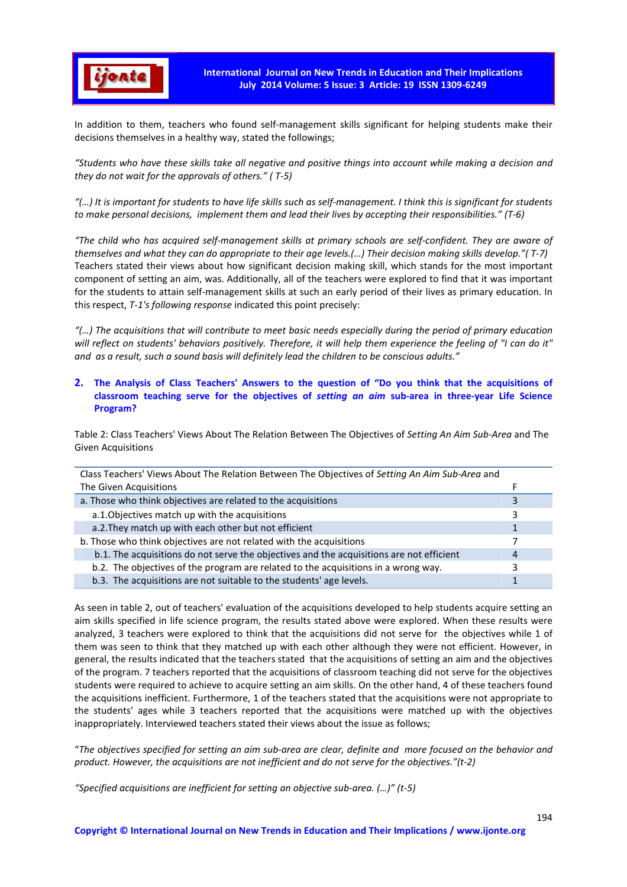

In addition to them, teachers who found self-management skills significant for helping students make their decisions themselves in a healthy way, stated the followings;

*"Students who have these skills take all negative and positive things into account while making a decision and they do not wait for the approvals of others." ( T-5)* 

*"(…) It is important for students to have life skills such as self-management. I think this is significant for students to make personal decisions, implement them and lead their lives by accepting their responsibilities." (T-6)* 

*"The child who has acquired self-management skills at primary schools are self-confident. They are aware of themselves and what they can do appropriate to their age levels.(…) Their decision making skills develop."( T-7)*  Teachers stated their views about how significant decision making skill, which stands for the most important component of setting an aim, was. Additionally, all of the teachers were explored to find that it was important for the students to attain self-management skills at such an early period of their lives as primary education. In this respect, *T-1's following response* indicated this point precisely:

*"(…) The acquisitions that will contribute to meet basic needs especially during the period of primary education will reflect on students' behaviors positively. Therefore, it will help them experience the feeling of "I can do it" and as a result, such a sound basis will definitely lead the children to be conscious adults."* 

# **2. The Analysis of Class Teachers' Answers to the question of "Do you think that the acquisitions of classroom teaching serve for the objectives of** *setting an aim* **sub-area in three-year Life Science Program?**

Table 2: Class Teachers' Views About The Relation Between The Objectives of *Setting An Aim Sub-Area* and The Given Acquisitions

| Class Teachers' Views About The Relation Between The Objectives of Setting An Aim Sub-Area and |   |
|------------------------------------------------------------------------------------------------|---|
| The Given Acquisitions                                                                         |   |
| a. Those who think objectives are related to the acquisitions                                  |   |
| a.1. Objectives match up with the acquisitions                                                 |   |
| a.2. They match up with each other but not efficient                                           |   |
| b. Those who think objectives are not related with the acquisitions                            |   |
| b.1. The acquisitions do not serve the objectives and the acquisitions are not efficient       | 4 |
| b.2. The objectives of the program are related to the acquisitions in a wrong way.             |   |
| b.3. The acquisitions are not suitable to the students' age levels.                            |   |

As seen in table 2, out of teachers' evaluation of the acquisitions developed to help students acquire setting an aim skills specified in life science program, the results stated above were explored. When these results were analyzed, 3 teachers were explored to think that the acquisitions did not serve for the objectives while 1 of them was seen to think that they matched up with each other although they were not efficient. However, in general, the results indicated that the teachers stated that the acquisitions of setting an aim and the objectives of the program. 7 teachers reported that the acquisitions of classroom teaching did not serve for the objectives students were required to achieve to acquire setting an aim skills. On the other hand, 4 of these teachers found the acquisitions inefficient. Furthermore, 1 of the teachers stated that the acquisitions were not appropriate to the students' ages while 3 teachers reported that the acquisitions were matched up with the objectives inappropriately. Interviewed teachers stated their views about the issue as follows;

"*The objectives specified for setting an aim sub-area are clear, definite and more focused on the behavior and product. However, the acquisitions are not inefficient and do not serve for the objectives."(t-2)* 

*"Specified acquisitions are inefficient for setting an objective sub-area. (…)" (t-5)*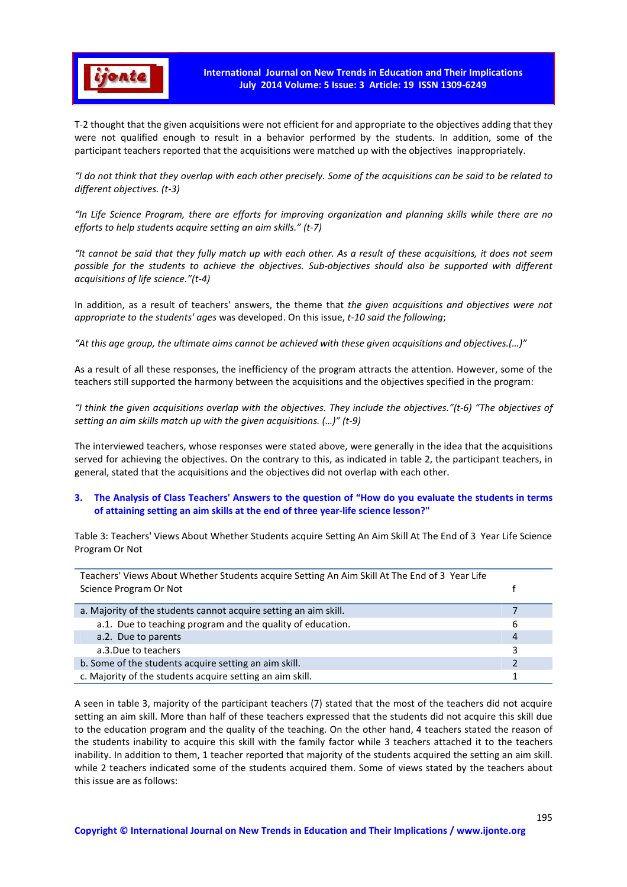

T-2 thought that the given acquisitions were not efficient for and appropriate to the objectives adding that they were not qualified enough to result in a behavior performed by the students. In addition, some of the participant teachers reported that the acquisitions were matched up with the objectives inappropriately.

*"I do not think that they overlap with each other precisely. Some of the acquisitions can be said to be related to different objectives. (t-3)* 

*"In Life Science Program, there are efforts for improving organization and planning skills while there are no efforts to help students acquire setting an aim skills." (t-7)* 

*"It cannot be said that they fully match up with each other. As a result of these acquisitions, it does not seem possible for the students to achieve the objectives. Sub-objectives should also be supported with different acquisitions of life science."(t-4)* 

In addition, as a result of teachers' answers, the theme that *the given acquisitions and objectives were not appropriate to the students' ages* was developed. On this issue, *t-10 said the following*;

*"At this age group, the ultimate aims cannot be achieved with these given acquisitions and objectives.(…)"* 

As a result of all these responses, the inefficiency of the program attracts the attention. However, some of the teachers still supported the harmony between the acquisitions and the objectives specified in the program:

*"I think the given acquisitions overlap with the objectives. They include the objectives."(t-6) "The objectives of setting an aim skills match up with the given acquisitions. (…)" (t-9)*

The interviewed teachers, whose responses were stated above, were generally in the idea that the acquisitions served for achieving the objectives. On the contrary to this, as indicated in table 2, the participant teachers, in general, stated that the acquisitions and the objectives did not overlap with each other.

# **3. The Analysis of Class Teachers' Answers to the question of "How do you evaluate the students in terms of attaining setting an aim skills at the end of three year-life science lesson?"**

Table 3: Teachers' Views About Whether Students acquire Setting An Aim Skill At The End of 3 Year Life Science Program Or Not

| Teachers' Views About Whether Students acquire Setting An Aim Skill At The End of 3 Year Life<br>Science Program Or Not |                |
|-------------------------------------------------------------------------------------------------------------------------|----------------|
| a. Majority of the students cannot acquire setting an aim skill.                                                        |                |
| a.1. Due to teaching program and the quality of education.                                                              | 6              |
| a.2. Due to parents                                                                                                     | $\overline{4}$ |
| a.3. Due to teachers                                                                                                    | 3              |
| b. Some of the students acquire setting an aim skill.                                                                   |                |
| c. Majority of the students acquire setting an aim skill.                                                               |                |

A seen in table 3, majority of the participant teachers (7) stated that the most of the teachers did not acquire setting an aim skill. More than half of these teachers expressed that the students did not acquire this skill due to the education program and the quality of the teaching. On the other hand, 4 teachers stated the reason of the students inability to acquire this skill with the family factor while 3 teachers attached it to the teachers inability. In addition to them, 1 teacher reported that majority of the students acquired the setting an aim skill. while 2 teachers indicated some of the students acquired them. Some of views stated by the teachers about this issue are as follows: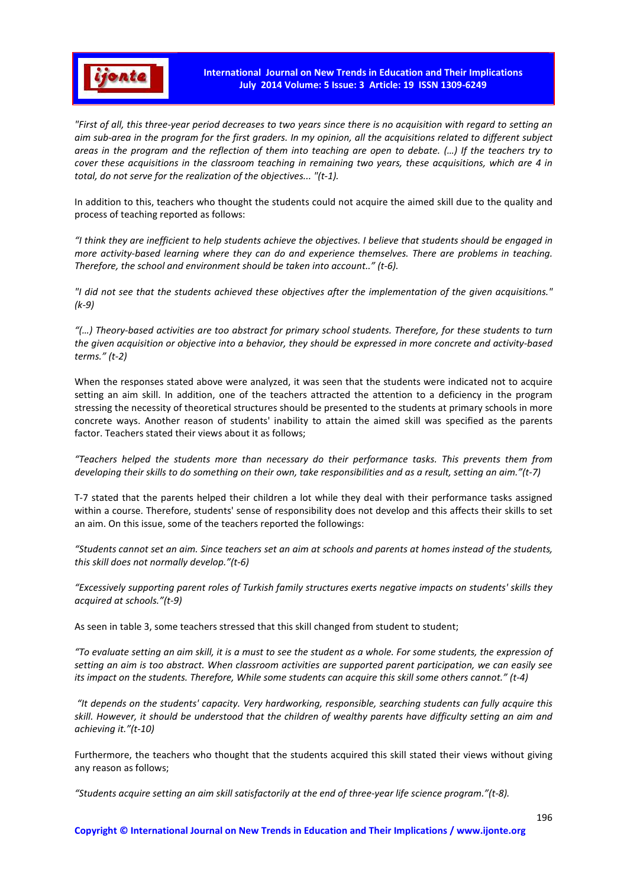

*"First of all, this three-year period decreases to two years since there is no acquisition with regard to setting an aim sub-area in the program for the first graders. In my opinion, all the acquisitions related to different subject areas in the program and the reflection of them into teaching are open to debate. (…) If the teachers try to cover these acquisitions in the classroom teaching in remaining two years, these acquisitions, which are 4 in total, do not serve for the realization of the objectives... "(t-1).* 

In addition to this, teachers who thought the students could not acquire the aimed skill due to the quality and process of teaching reported as follows:

*"I think they are inefficient to help students achieve the objectives. I believe that students should be engaged in more activity-based learning where they can do and experience themselves. There are problems in teaching. Therefore, the school and environment should be taken into account.." (t-6).* 

*"I did not see that the students achieved these objectives after the implementation of the given acquisitions." (k-9)* 

*"(…) Theory-based activities are too abstract for primary school students. Therefore, for these students to turn the given acquisition or objective into a behavior, they should be expressed in more concrete and activity-based terms." (t-2)* 

When the responses stated above were analyzed, it was seen that the students were indicated not to acquire setting an aim skill. In addition, one of the teachers attracted the attention to a deficiency in the program stressing the necessity of theoretical structures should be presented to the students at primary schools in more concrete ways. Another reason of students' inability to attain the aimed skill was specified as the parents factor. Teachers stated their views about it as follows;

*"Teachers helped the students more than necessary do their performance tasks. This prevents them from developing their skills to do something on their own, take responsibilities and as a result, setting an aim."(t-7)* 

T-7 stated that the parents helped their children a lot while they deal with their performance tasks assigned within a course. Therefore, students' sense of responsibility does not develop and this affects their skills to set an aim. On this issue, some of the teachers reported the followings:

*"Students cannot set an aim. Since teachers set an aim at schools and parents at homes instead of the students, this skill does not normally develop."(t-6)* 

*"Excessively supporting parent roles of Turkish family structures exerts negative impacts on students' skills they acquired at schools."(t-9)* 

As seen in table 3, some teachers stressed that this skill changed from student to student;

*"To evaluate setting an aim skill, it is a must to see the student as a whole. For some students, the expression of setting an aim is too abstract. When classroom activities are supported parent participation, we can easily see its impact on the students. Therefore, While some students can acquire this skill some others cannot." (t-4)* 

 *"It depends on the students' capacity. Very hardworking, responsible, searching students can fully acquire this skill. However, it should be understood that the children of wealthy parents have difficulty setting an aim and achieving it."(t-10)* 

Furthermore, the teachers who thought that the students acquired this skill stated their views without giving any reason as follows;

*"Students acquire setting an aim skill satisfactorily at the end of three-year life science program."(t-8).*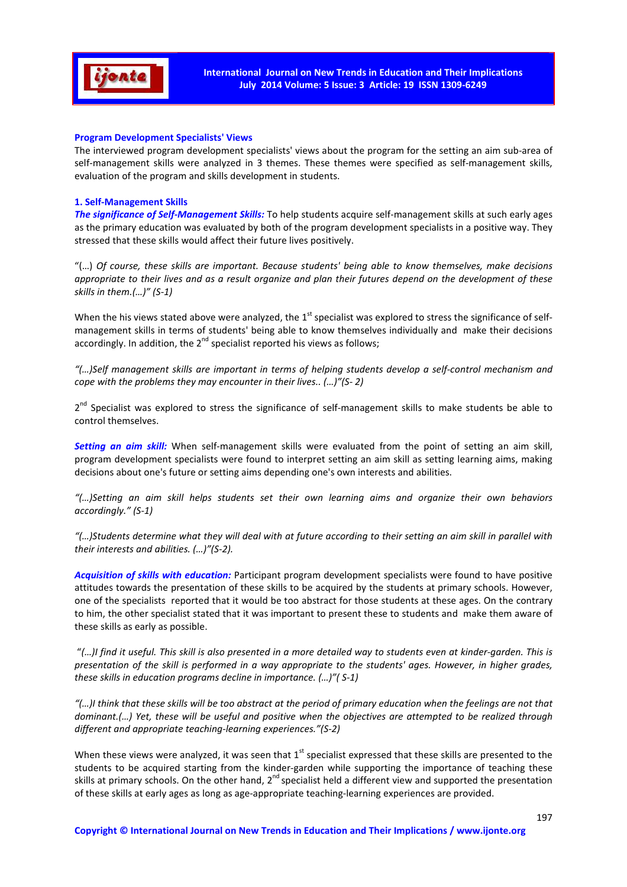

## **Program Development Specialists' Views**

The interviewed program development specialists' views about the program for the setting an aim sub-area of self-management skills were analyzed in 3 themes. These themes were specified as self-management skills, evaluation of the program and skills development in students.

## **1. Self-Management Skills**

*The significance of Self-Management Skills:* To help students acquire self-management skills at such early ages as the primary education was evaluated by both of the program development specialists in a positive way. They stressed that these skills would affect their future lives positively.

"(…) *Of course, these skills are important. Because students' being able to know themselves, make decisions appropriate to their lives and as a result organize and plan their futures depend on the development of these skills in them.(…)" (S-1)* 

When the his views stated above were analyzed, the  $1^{st}$  specialist was explored to stress the significance of selfmanagement skills in terms of students' being able to know themselves individually and make their decisions accordingly. In addition, the  $2^{nd}$  specialist reported his views as follows;

*"(…)Self management skills are important in terms of helping students develop a self-control mechanism and cope with the problems they may encounter in their lives.. (…)"(S- 2)* 

2<sup>nd</sup> Specialist was explored to stress the significance of self-management skills to make students be able to control themselves.

*Setting an aim skill:* When self-management skills were evaluated from the point of setting an aim skill, program development specialists were found to interpret setting an aim skill as setting learning aims, making decisions about one's future or setting aims depending one's own interests and abilities.

*"(…)Setting an aim skill helps students set their own learning aims and organize their own behaviors accordingly." (S-1)* 

*"(…)Students determine what they will deal with at future according to their setting an aim skill in parallel with their interests and abilities. (…)"(S-2).* 

*Acquisition of skills with education:* Participant program development specialists were found to have positive attitudes towards the presentation of these skills to be acquired by the students at primary schools. However, one of the specialists reported that it would be too abstract for those students at these ages. On the contrary to him, the other specialist stated that it was important to present these to students and make them aware of these skills as early as possible.

 "*(…)I find it useful. This skill is also presented in a more detailed way to students even at kinder-garden. This is presentation of the skill is performed in a way appropriate to the students' ages. However, in higher grades, these skills in education programs decline in importance. (…)"( S-1)* 

*"(…)I think that these skills will be too abstract at the period of primary education when the feelings are not that dominant.(…) Yet, these will be useful and positive when the objectives are attempted to be realized through different and appropriate teaching-learning experiences."(S-2)* 

When these views were analyzed, it was seen that  $1<sup>st</sup>$  specialist expressed that these skills are presented to the students to be acquired starting from the kinder-garden while supporting the importance of teaching these skills at primary schools. On the other hand, 2<sup>nd</sup> specialist held a different view and supported the presentation of these skills at early ages as long as age-appropriate teaching-learning experiences are provided.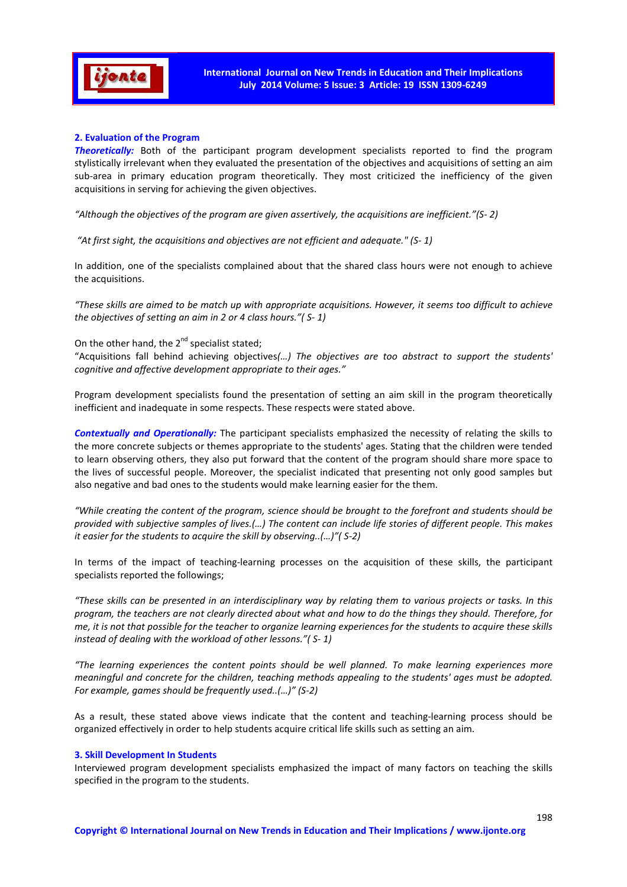

## **2. Evaluation of the Program**

*Theoretically:* Both of the participant program development specialists reported to find the program stylistically irrelevant when they evaluated the presentation of the objectives and acquisitions of setting an aim sub-area in primary education program theoretically. They most criticized the inefficiency of the given acquisitions in serving for achieving the given objectives.

*"Although the objectives of the program are given assertively, the acquisitions are inefficient."(S- 2)* 

 *"At first sight, the acquisitions and objectives are not efficient and adequate." (S- 1)* 

In addition, one of the specialists complained about that the shared class hours were not enough to achieve the acquisitions.

*"These skills are aimed to be match up with appropriate acquisitions. However, it seems too difficult to achieve the objectives of setting an aim in 2 or 4 class hours."( S- 1)* 

On the other hand, the  $2^{nd}$  specialist stated;

"Acquisitions fall behind achieving objectives*(…) The objectives are too abstract to support the students' cognitive and affective development appropriate to their ages."*

Program development specialists found the presentation of setting an aim skill in the program theoretically inefficient and inadequate in some respects. These respects were stated above.

*Contextually and Operationally:* The participant specialists emphasized the necessity of relating the skills to the more concrete subjects or themes appropriate to the students' ages. Stating that the children were tended to learn observing others, they also put forward that the content of the program should share more space to the lives of successful people. Moreover, the specialist indicated that presenting not only good samples but also negative and bad ones to the students would make learning easier for the them.

*"While creating the content of the program, science should be brought to the forefront and students should be provided with subjective samples of lives.(…) The content can include life stories of different people. This makes it easier for the students to acquire the skill by observing..(…)"( S-2)* 

In terms of the impact of teaching-learning processes on the acquisition of these skills, the participant specialists reported the followings;

*"These skills can be presented in an interdisciplinary way by relating them to various projects or tasks. In this program, the teachers are not clearly directed about what and how to do the things they should. Therefore, for me, it is not that possible for the teacher to organize learning experiences for the students to acquire these skills instead of dealing with the workload of other lessons."( S- 1)* 

*"The learning experiences the content points should be well planned. To make learning experiences more meaningful and concrete for the children, teaching methods appealing to the students' ages must be adopted. For example, games should be frequently used..(…)" (S-2)* 

As a result, these stated above views indicate that the content and teaching-learning process should be organized effectively in order to help students acquire critical life skills such as setting an aim.

### **3. Skill Development In Students**

Interviewed program development specialists emphasized the impact of many factors on teaching the skills specified in the program to the students.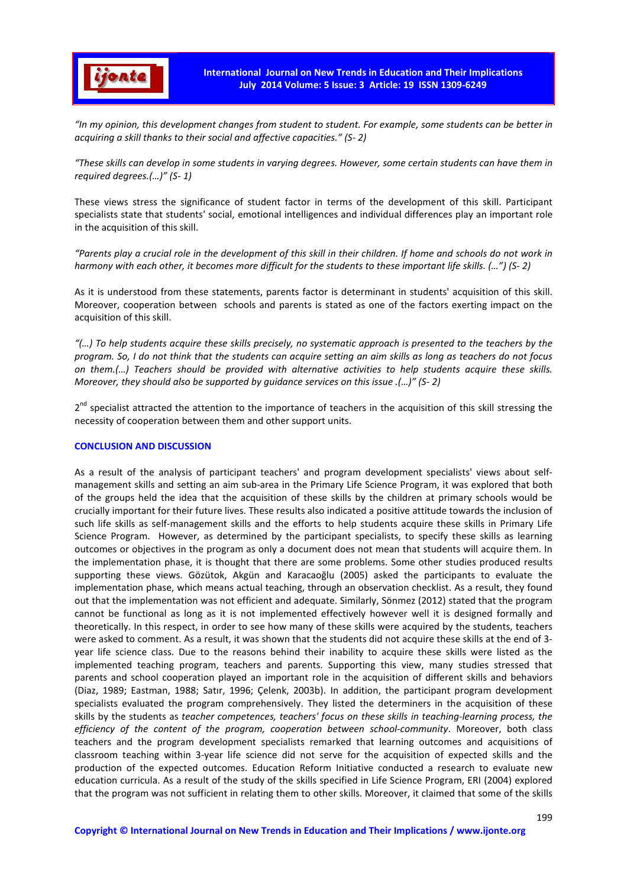

*"In my opinion, this development changes from student to student. For example, some students can be better in acquiring a skill thanks to their social and affective capacities." (S- 2)* 

*"These skills can develop in some students in varying degrees. However, some certain students can have them in required degrees.(…)" (S- 1)* 

These views stress the significance of student factor in terms of the development of this skill. Participant specialists state that students' social, emotional intelligences and individual differences play an important role in the acquisition of this skill.

*"Parents play a crucial role in the development of this skill in their children. If home and schools do not work in harmony with each other, it becomes more difficult for the students to these important life skills. (…") (S- 2)* 

As it is understood from these statements, parents factor is determinant in students' acquisition of this skill. Moreover, cooperation between schools and parents is stated as one of the factors exerting impact on the acquisition of this skill.

*"(…) To help students acquire these skills precisely, no systematic approach is presented to the teachers by the program. So, I do not think that the students can acquire setting an aim skills as long as teachers do not focus on them.(…) Teachers should be provided with alternative activities to help students acquire these skills. Moreover, they should also be supported by guidance services on this issue .(…)" (S- 2)* 

2<sup>nd</sup> specialist attracted the attention to the importance of teachers in the acquisition of this skill stressing the necessity of cooperation between them and other support units.

### **CONCLUSION AND DISCUSSION**

As a result of the analysis of participant teachers' and program development specialists' views about selfmanagement skills and setting an aim sub-area in the Primary Life Science Program, it was explored that both of the groups held the idea that the acquisition of these skills by the children at primary schools would be crucially important for their future lives. These results also indicated a positive attitude towards the inclusion of such life skills as self-management skills and the efforts to help students acquire these skills in Primary Life Science Program. However, as determined by the participant specialists, to specify these skills as learning outcomes or objectives in the program as only a document does not mean that students will acquire them. In the implementation phase, it is thought that there are some problems. Some other studies produced results supporting these views. Gözütok, Akgün and Karacaoğlu (2005) asked the participants to evaluate the implementation phase, which means actual teaching, through an observation checklist. As a result, they found out that the implementation was not efficient and adequate. Similarly, Sönmez (2012) stated that the program cannot be functional as long as it is not implemented effectively however well it is designed formally and theoretically. In this respect, in order to see how many of these skills were acquired by the students, teachers were asked to comment. As a result, it was shown that the students did not acquire these skills at the end of 3 year life science class. Due to the reasons behind their inability to acquire these skills were listed as the implemented teaching program, teachers and parents. Supporting this view, many studies stressed that parents and school cooperation played an important role in the acquisition of different skills and behaviors (Diaz, 1989; Eastman, 1988; Satır, 1996; Çelenk, 2003b). In addition, the participant program development specialists evaluated the program comprehensively. They listed the determiners in the acquisition of these skills by the students as *teacher competences, teachers' focus on these skills in teaching-learning process, the efficiency of the content of the program, cooperation between school-community*. Moreover, both class teachers and the program development specialists remarked that learning outcomes and acquisitions of classroom teaching within 3-year life science did not serve for the acquisition of expected skills and the production of the expected outcomes. Education Reform Initiative conducted a research to evaluate new education curricula. As a result of the study of the skills specified in Life Science Program, ERI (2004) explored that the program was not sufficient in relating them to other skills. Moreover, it claimed that some of the skills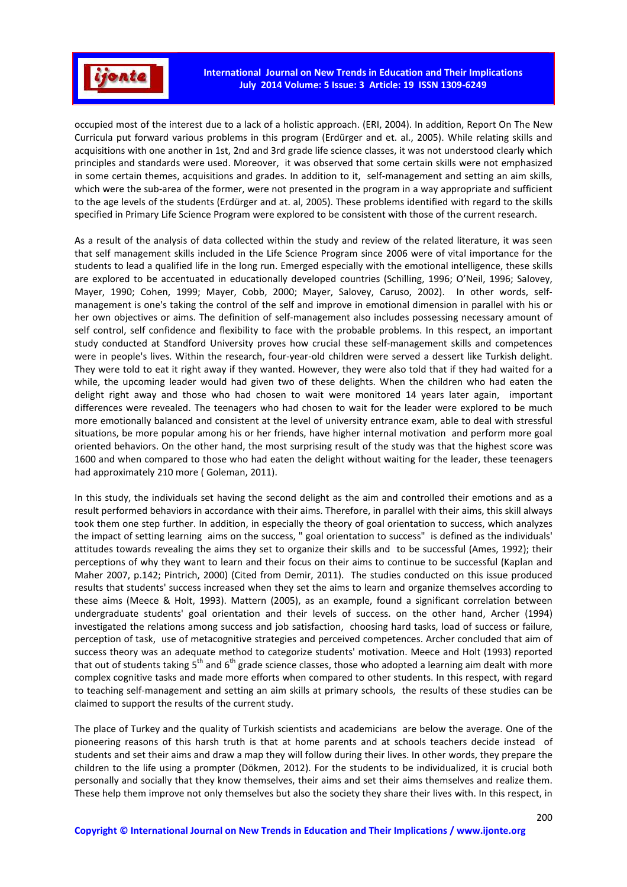

occupied most of the interest due to a lack of a holistic approach. (ERI, 2004). In addition, Report On The New Curricula put forward various problems in this program (Erdürger and et. al., 2005). While relating skills and acquisitions with one another in 1st, 2nd and 3rd grade life science classes, it was not understood clearly which principles and standards were used. Moreover, it was observed that some certain skills were not emphasized in some certain themes, acquisitions and grades. In addition to it, self-management and setting an aim skills, which were the sub-area of the former, were not presented in the program in a way appropriate and sufficient to the age levels of the students (Erdürger and at. al, 2005). These problems identified with regard to the skills specified in Primary Life Science Program were explored to be consistent with those of the current research.

As a result of the analysis of data collected within the study and review of the related literature, it was seen that self management skills included in the Life Science Program since 2006 were of vital importance for the students to lead a qualified life in the long run. Emerged especially with the emotional intelligence, these skills are explored to be accentuated in educationally developed countries (Schilling, 1996; O'Neil, 1996; Salovey, Mayer, 1990; Cohen, 1999; Mayer, Cobb, 2000; Mayer, Salovey, Caruso, 2002). In other words, selfmanagement is one's taking the control of the self and improve in emotional dimension in parallel with his or her own objectives or aims. The definition of self-management also includes possessing necessary amount of self control, self confidence and flexibility to face with the probable problems. In this respect, an important study conducted at Standford University proves how crucial these self-management skills and competences were in people's lives. Within the research, four-year-old children were served a dessert like Turkish delight. They were told to eat it right away if they wanted. However, they were also told that if they had waited for a while, the upcoming leader would had given two of these delights. When the children who had eaten the delight right away and those who had chosen to wait were monitored 14 years later again, important differences were revealed. The teenagers who had chosen to wait for the leader were explored to be much more emotionally balanced and consistent at the level of university entrance exam, able to deal with stressful situations, be more popular among his or her friends, have higher internal motivation and perform more goal oriented behaviors. On the other hand, the most surprising result of the study was that the highest score was 1600 and when compared to those who had eaten the delight without waiting for the leader, these teenagers had approximately 210 more ( Goleman, 2011).

In this study, the individuals set having the second delight as the aim and controlled their emotions and as a result performed behaviors in accordance with their aims. Therefore, in parallel with their aims, this skill always took them one step further. In addition, in especially the theory of goal orientation to success, which analyzes the impact of setting learning aims on the success, " goal orientation to success" is defined as the individuals' attitudes towards revealing the aims they set to organize their skills and to be successful (Ames, 1992); their perceptions of why they want to learn and their focus on their aims to continue to be successful (Kaplan and Maher 2007, p.142; Pintrich, 2000) (Cited from Demir, 2011). The studies conducted on this issue produced results that students' success increased when they set the aims to learn and organize themselves according to these aims (Meece & Holt, 1993). Mattern (2005), as an example, found a significant correlation between undergraduate students' goal orientation and their levels of success. on the other hand, Archer (1994) investigated the relations among success and job satisfaction, choosing hard tasks, load of success or failure, perception of task, use of metacognitive strategies and perceived competences. Archer concluded that aim of success theory was an adequate method to categorize students' motivation. Meece and Holt (1993) reported that out of students taking  $5<sup>th</sup>$  and  $6<sup>th</sup>$  grade science classes, those who adopted a learning aim dealt with more complex cognitive tasks and made more efforts when compared to other students. In this respect, with regard to teaching self-management and setting an aim skills at primary schools, the results of these studies can be claimed to support the results of the current study.

The place of Turkey and the quality of Turkish scientists and academicians are below the average. One of the pioneering reasons of this harsh truth is that at home parents and at schools teachers decide instead of students and set their aims and draw a map they will follow during their lives. In other words, they prepare the children to the life using a prompter (Dökmen, 2012). For the students to be individualized, it is crucial both personally and socially that they know themselves, their aims and set their aims themselves and realize them. These help them improve not only themselves but also the society they share their lives with. In this respect, in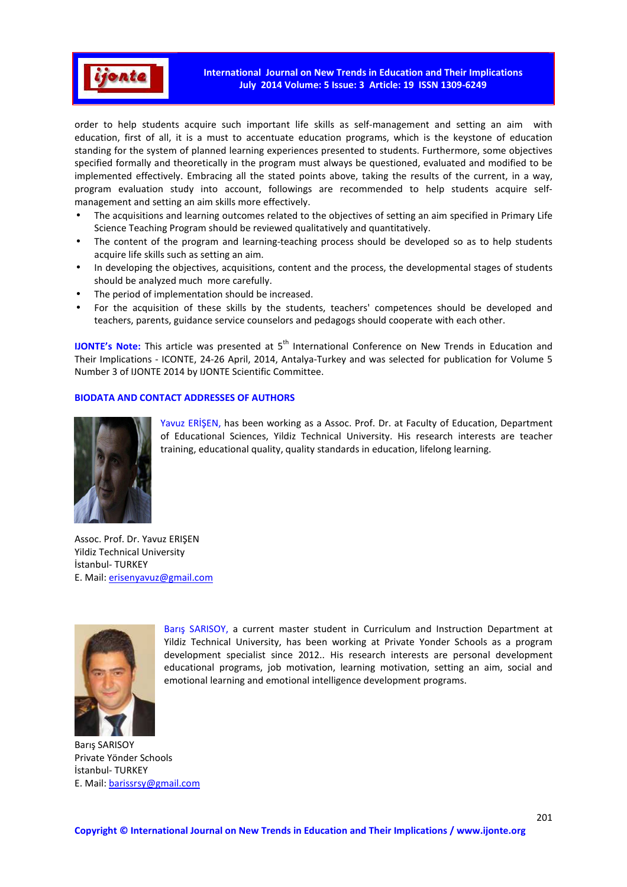

**International Journal on New Trends in Education and Their Implications July 2014 Volume: 5 Issue: 3 Article: 19 ISSN 1309-6249** 

order to help students acquire such important life skills as self-management and setting an aim with education, first of all, it is a must to accentuate education programs, which is the keystone of education standing for the system of planned learning experiences presented to students. Furthermore, some objectives specified formally and theoretically in the program must always be questioned, evaluated and modified to be implemented effectively. Embracing all the stated points above, taking the results of the current, in a way, program evaluation study into account, followings are recommended to help students acquire selfmanagement and setting an aim skills more effectively.

- The acquisitions and learning outcomes related to the objectives of setting an aim specified in Primary Life Science Teaching Program should be reviewed qualitatively and quantitatively.
- The content of the program and learning-teaching process should be developed so as to help students acquire life skills such as setting an aim.
- In developing the objectives, acquisitions, content and the process, the developmental stages of students should be analyzed much more carefully.
- The period of implementation should be increased.
- For the acquisition of these skills by the students, teachers' competences should be developed and teachers, parents, guidance service counselors and pedagogs should cooperate with each other.

**IJONTE's Note:** This article was presented at 5<sup>th</sup> International Conference on New Trends in Education and Their Implications - ICONTE, 24-26 April, 2014, Antalya-Turkey and was selected for publication for Volume 5 Number 3 of IJONTE 2014 by IJONTE Scientific Committee.

## **BIODATA AND CONTACT ADDRESSES OF AUTHORS**



Yavuz ERİŞEN, has been working as a Assoc. Prof. Dr. at Faculty of Education, Department of Educational Sciences, Yildiz Technical University. His research interests are teacher training, educational quality, quality standards in education, lifelong learning.

Assoc. Prof. Dr. Yavuz ERIŞEN Yildiz Technical University İstanbul- TURKEY E. Mail: erisenyavuz@gmail.com



Barış SARISOY, a current master student in Curriculum and Instruction Department at Yildiz Technical University, has been working at Private Yonder Schools as a program development specialist since 2012.. His research interests are personal development educational programs, job motivation, learning motivation, setting an aim, social and emotional learning and emotional intelligence development programs.

Barış SARISOY Private Yönder Schools İstanbul- TURKEY E. Mail: barissrsy@gmail.com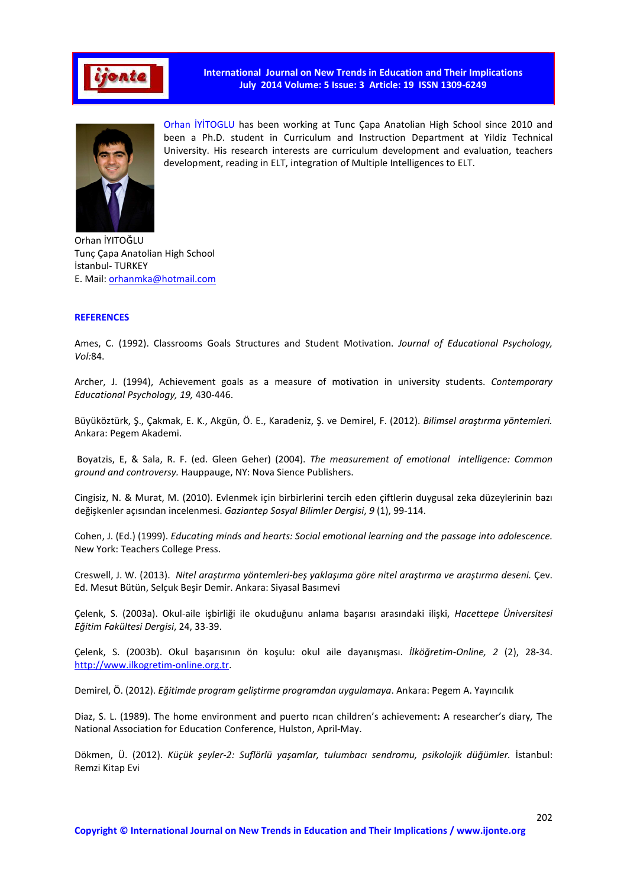

**International Journal on New Trends in Education and Their Implications July 2014 Volume: 5 Issue: 3 Article: 19 ISSN 1309-6249** 



Orhan İYİTOGLU has been working at Tunc Çapa Anatolian High School since 2010 and been a Ph.D. student in Curriculum and Instruction Department at Yildiz Technical University. His research interests are curriculum development and evaluation, teachers development, reading in ELT, integration of Multiple Intelligences to ELT.

Orhan İYITOĞLU Tunç Çapa Anatolian High School İstanbul- TURKEY E. Mail: orhanmka@hotmail.com

# **REFERENCES**

Ames, C. (1992). Classrooms Goals Structures and Student Motivation. *Journal of Educational Psychology, Vol:*84.

Archer, J. (1994), Achievement goals as a measure of motivation in university students. *Contemporary Educational Psychology, 19,* 430-446.

Büyüköztürk, Ş., Çakmak, E. K., Akgün, Ö. E., Karadeniz, Ş. ve Demirel, F. (2012). *Bilimsel araştırma yöntemleri.* Ankara: Pegem Akademi.

 Boyatzis, E, & Sala, R. F. (ed. Gleen Geher) (2004). *The measurement of emotional intelligence: Common ground and controversy.* Hauppauge, NY: Nova Sience Publishers.

Cingisiz, N. & Murat, M. (2010). Evlenmek için birbirlerini tercih eden çiftlerin duygusal zeka düzeylerinin bazı değişkenler açısından incelenmesi. *Gaziantep Sosyal Bilimler Dergisi*, *9* (1), 99-114.

Cohen, J. (Ed.) (1999). *Educating minds and hearts: Social emotional learning and the passage into adolescence.*  New York: Teachers College Press.

Creswell, J. W. (2013). *Nitel araştırma yöntemleri-beş yaklaşıma göre nitel araştırma ve araştırma deseni.* Çev. Ed. Mesut Bütün, Selçuk Beşir Demir. Ankara: Siyasal Basımevi

Çelenk, S. (2003a). Okul-aile işbirliği ile okuduğunu anlama başarısı arasındaki ilişki, *Hacettepe Üniversitesi Eğitim Fakültesi Dergisi*, 24, 33-39.

Çelenk, S. (2003b). Okul başarısının ön koşulu: okul aile dayanışması. *İlköğretim-Online, 2* (2), 28-34. http://www.ilkogretim-online.org.tr.

Demirel, Ö. (2012). *Eğitimde program geliştirme programdan uygulamaya*. Ankara: Pegem A. Yayıncılık

Diaz, S. L. (1989). The home environment and puerto rıcan children's achievement**:** A researcher's diary*,* The National Association for Education Conference, Hulston, April-May.

Dökmen, Ü. (2012). Küçük şeyler-2: Suflörlü yaşamlar, tulumbacı sendromu, psikolojik düğümler. İstanbul: Remzi Kitap Evi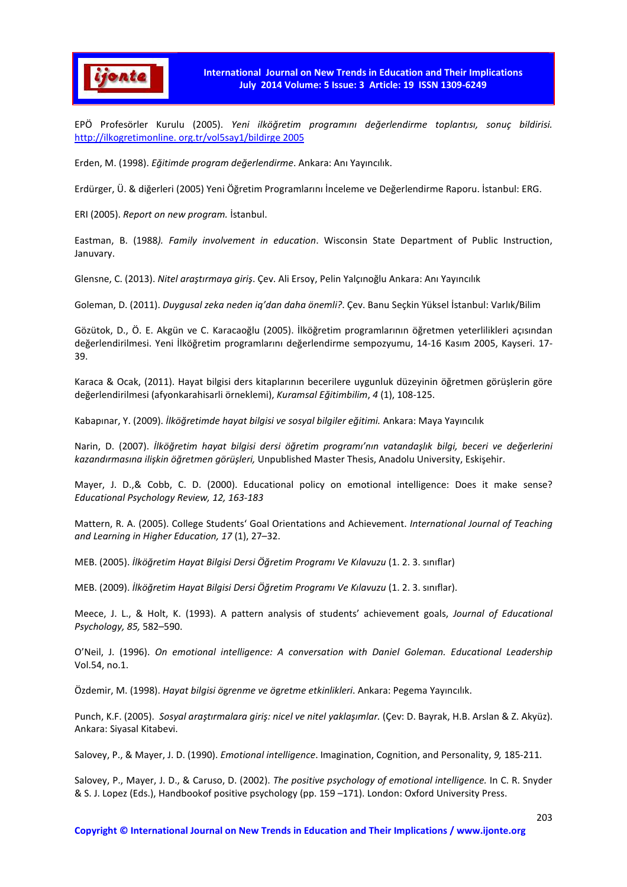

EPÖ Profesörler Kurulu (2005). *Yeni ilköğretim programını değerlendirme toplantısı, sonuç bildirisi.* http://ilkogretimonline. org.tr/vol5say1/bildirge 2005

Erden, M. (1998). *Eğitimde program değerlendirme*. Ankara: Anı Yayıncılık.

Erdürger, Ü. & diğerleri (2005) Yeni Öğretim Programlarını İnceleme ve Değerlendirme Raporu. İstanbul: ERG.

ERI (2005). *Report on new program.* İstanbul.

Eastman, B. (1988*). Family involvement in education*. Wisconsin State Department of Public Instruction, Januvary.

Glensne, C. (2013). *Nitel araştırmaya giriş*. Çev. Ali Ersoy, Pelin Yalçınoğlu Ankara: Anı Yayıncılık

Goleman, D. (2011). *Duygusal zeka neden iq'dan daha önemli?*. Çev. Banu Seçkin Yüksel İstanbul: Varlık/Bilim

Gözütok, D., Ö. E. Akgün ve C. Karacaoğlu (2005). İlköğretim programlarının öğretmen yeterlilikleri açısından değerlendirilmesi. Yeni İlköğretim programlarını değerlendirme sempozyumu, 14-16 Kasım 2005, Kayseri. 17- 39.

Karaca & Ocak, (2011). Hayat bilgisi ders kitaplarının becerilere uygunluk düzeyinin öğretmen görüşlerin göre değerlendirilmesi (afyonkarahisarli örneklemi), *Kuramsal Eğitimbilim*, *4* (1), 108-125.

Kabapınar, Y. (2009). *İlköğretimde hayat bilgisi ve sosyal bilgiler eğitimi.* Ankara: Maya Yayıncılık

Narin, D. (2007). *İlköğretim hayat bilgisi dersi öğretim programı'nın vatandaşlık bilgi, beceri ve değerlerini kazandırmasına ilişkin öğretmen görüşleri,* Unpublished Master Thesis, Anadolu University, Eskişehir.

Mayer, J. D.,& Cobb, C. D. (2000). Educational policy on emotional intelligence: Does it make sense? *Educational Psychology Review, 12, 163-183*

Mattern, R. A. (2005). College Students' Goal Orientations and Achievement. *International Journal of Teaching and Learning in Higher Education, 17* (1), 27–32.

MEB. (2005). *İlköğretim Hayat Bilgisi Dersi Öğretim Programı Ve Kılavuzu* (1. 2. 3. sınıflar)

MEB. (2009). *İlköğretim Hayat Bilgisi Dersi Öğretim Programı Ve Kılavuzu* (1. 2. 3. sınıflar).

Meece, J. L., & Holt, K. (1993). A pattern analysis of students' achievement goals, *Journal of Educational Psychology, 85,* 582–590.

O'Neil, J. (1996). *On emotional intelligence: A conversation with Daniel Goleman. Educational Leadership*  Vol.54, no.1.

Özdemir, M. (1998). *Hayat bilgisi ö*g*renme ve ö*g*retme etkinlikleri*. Ankara: Pegema Yayıncılık.

Punch, K.F. (2005). *Sosyal araştırmalara giriş: nicel ve nitel yaklaşımlar.* (Çev: D. Bayrak, H.B. Arslan & Z. Akyüz). Ankara: Siyasal Kitabevi.

Salovey, P., & Mayer, J. D. (1990). *Emotional intelligence*. Imagination, Cognition, and Personality, *9,* 185-211.

Salovey, P., Mayer, J. D., & Caruso, D. (2002). *The positive psychology of emotional intelligence.* In C. R. Snyder & S. J. Lopez (Eds.), Handbookof positive psychology (pp. 159 –171). London: Oxford University Press.